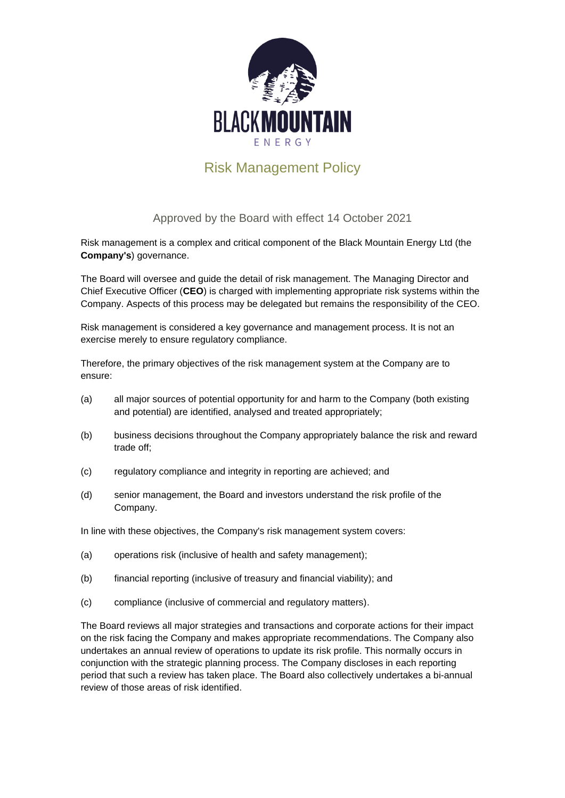

## Risk Management Policy

## Approved by the Board with effect 14 October 2021

Risk management is a complex and critical component of the Black Mountain Energy Ltd (the **Company's**) governance.

The Board will oversee and guide the detail of risk management. The Managing Director and Chief Executive Officer (**CEO**) is charged with implementing appropriate risk systems within the Company. Aspects of this process may be delegated but remains the responsibility of the CEO.

Risk management is considered a key governance and management process. It is not an exercise merely to ensure regulatory compliance.

Therefore, the primary objectives of the risk management system at the Company are to ensure:

- (a) all major sources of potential opportunity for and harm to the Company (both existing and potential) are identified, analysed and treated appropriately;
- (b) business decisions throughout the Company appropriately balance the risk and reward trade off;
- (c) regulatory compliance and integrity in reporting are achieved; and
- (d) senior management, the Board and investors understand the risk profile of the Company.

In line with these objectives, the Company's risk management system covers:

- (a) operations risk (inclusive of health and safety management);
- (b) financial reporting (inclusive of treasury and financial viability); and
- (c) compliance (inclusive of commercial and regulatory matters).

The Board reviews all major strategies and transactions and corporate actions for their impact on the risk facing the Company and makes appropriate recommendations. The Company also undertakes an annual review of operations to update its risk profile. This normally occurs in conjunction with the strategic planning process. The Company discloses in each reporting period that such a review has taken place. The Board also collectively undertakes a bi-annual review of those areas of risk identified.